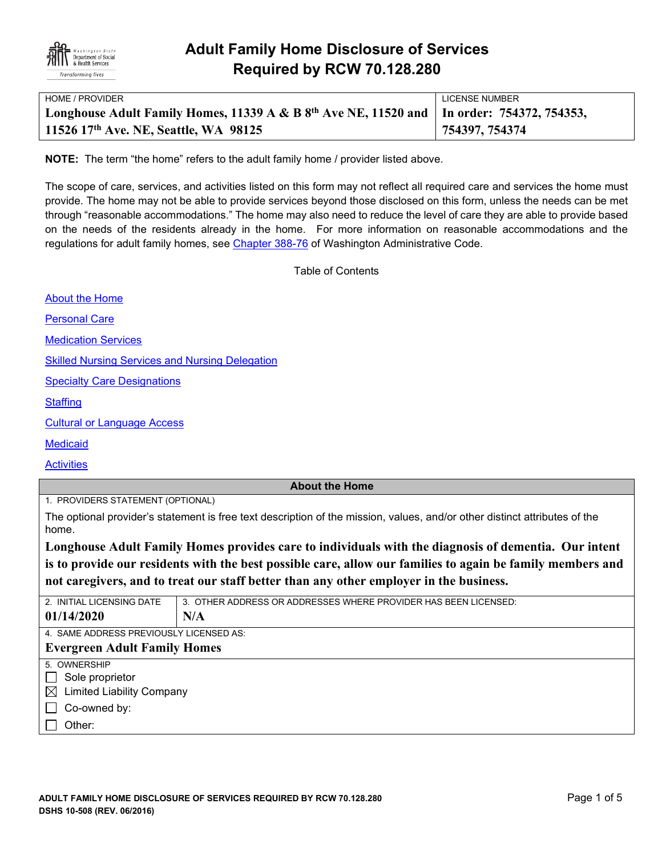

| HOME / PROVIDER                                                                               | LICENSE NUMBER |
|-----------------------------------------------------------------------------------------------|----------------|
| Longhouse Adult Family Homes, 11339 A & B $8th$ Ave NE, 11520 and   In order: 754372, 754353, |                |
| 11526 17th Ave. NE, Seattle, WA 98125                                                         | 754397, 754374 |

**NOTE:** The term "the home" refers to the adult family home / provider listed above.

The scope of care, services, and activities listed on this form may not reflect all required care and services the home must provide. The home may not be able to provide services beyond those disclosed on this form, unless the needs can be met through "reasonable accommodations." The home may also need to reduce the level of care they are able to provide based on the needs of the residents already in the home. For more information on reasonable accommodations and the regulations for adult family homes, see [Chapter 388-76](http://apps.leg.wa.gov/WAC/default.aspx?cite=388-76) of Washington Administrative Code.

Table of Contents

[About the Home](#page-0-0)

[Personal Care](#page-1-0)

[Medication Services](#page-2-0)

[Skilled Nursing Services and Nursing Delegation](#page-2-1)

[Specialty Care Designations](#page-2-2)

**[Staffing](#page-3-0)** 

[Cultural or Language Access](#page-3-1)

**[Medicaid](#page-3-2)** 

**[Activities](#page-4-0)** 

### <span id="page-0-0"></span>**About the Home**

1. PROVIDERS STATEMENT (OPTIONAL)

The optional provider's statement is free text description of the mission, values, and/or other distinct attributes of the home.

**Longhouse Adult Family Homes provides care to individuals with the diagnosis of dementia. Our intent is to provide our residents with the best possible care, allow our families to again be family members and not caregivers, and to treat our staff better than any other employer in the business.**

| 2. INITIAL LICENSING DATE                       | 3. OTHER ADDRESS OR ADDRESSES WHERE PROVIDER HAS BEEN LICENSED: |  |  |  |
|-------------------------------------------------|-----------------------------------------------------------------|--|--|--|
| 01/14/2020                                      | N/A                                                             |  |  |  |
| 4. SAME ADDRESS PREVIOUSLY LICENSED AS:         |                                                                 |  |  |  |
| <b>Evergreen Adult Family Homes</b>             |                                                                 |  |  |  |
| 5. OWNERSHIP                                    |                                                                 |  |  |  |
| Sole proprietor<br>$\mathbf{I}$                 |                                                                 |  |  |  |
| <b>Limited Liability Company</b><br>$\boxtimes$ |                                                                 |  |  |  |
| Co-owned by:<br>$\mathbf{I}$                    |                                                                 |  |  |  |
| Other:                                          |                                                                 |  |  |  |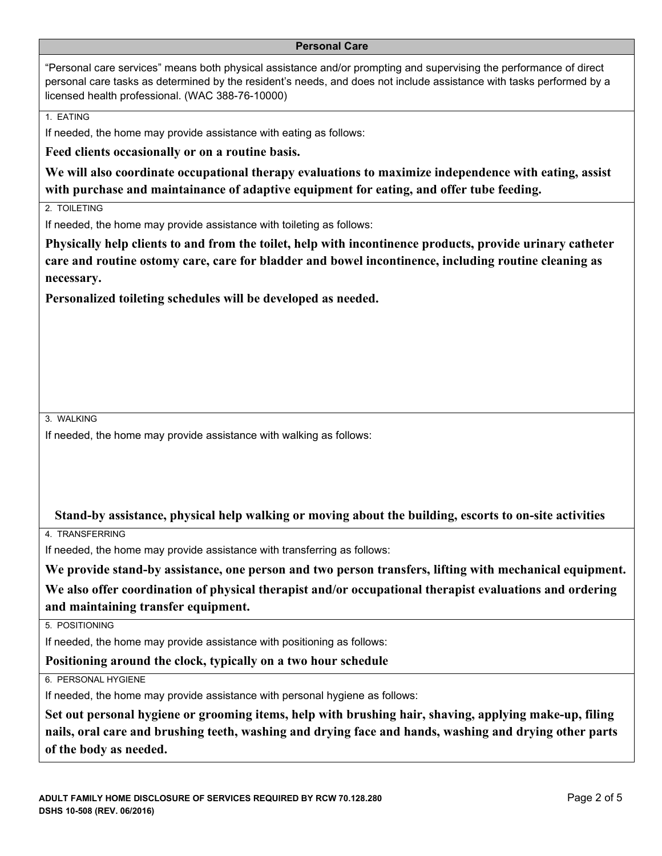#### <span id="page-1-0"></span>**Personal Care**

"Personal care services" means both physical assistance and/or prompting and supervising the performance of direct personal care tasks as determined by the resident's needs, and does not include assistance with tasks performed by a licensed health professional. (WAC 388-76-10000)

1. EATING

If needed, the home may provide assistance with eating as follows:

**Feed clients occasionally or on a routine basis.**

**We will also coordinate occupational therapy evaluations to maximize independence with eating, assist with purchase and maintainance of adaptive equipment for eating, and offer tube feeding.** 

2. TOILETING

If needed, the home may provide assistance with toileting as follows:

**Physically help clients to and from the toilet, help with incontinence products, provide urinary catheter care and routine ostomy care, care for bladder and bowel incontinence, including routine cleaning as necessary.**

**Personalized toileting schedules will be developed as needed.** 

3. WALKING

If needed, the home may provide assistance with walking as follows:

### **Stand-by assistance, physical help walking or moving about the building, escorts to on-site activities**

4. TRANSFERRING

If needed, the home may provide assistance with transferring as follows:

**We provide stand-by assistance, one person and two person transfers, lifting with mechanical equipment. We also offer coordination of physical therapist and/or occupational therapist evaluations and ordering and maintaining transfer equipment.** 

5. POSITIONING

If needed, the home may provide assistance with positioning as follows:

**Positioning around the clock, typically on a two hour schedule**

6. PERSONAL HYGIENE

If needed, the home may provide assistance with personal hygiene as follows:

**Set out personal hygiene or grooming items, help with brushing hair, shaving, applying make-up, filing nails, oral care and brushing teeth, washing and drying face and hands, washing and drying other parts of the body as needed.**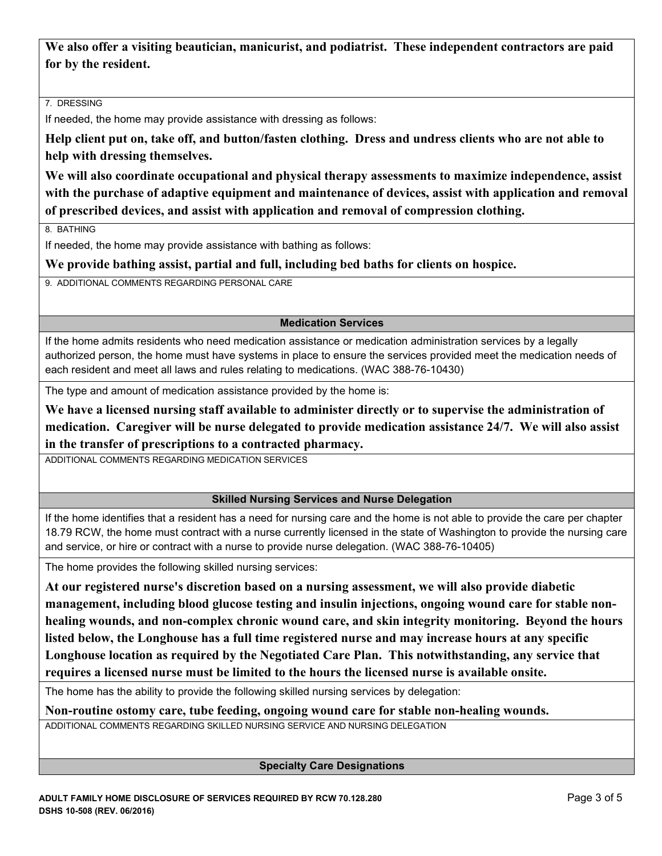**We also offer a visiting beautician, manicurist, and podiatrist. These independent contractors are paid for by the resident.** 

7. DRESSING

If needed, the home may provide assistance with dressing as follows:

**Help client put on, take off, and button/fasten clothing. Dress and undress clients who are not able to help with dressing themselves.**

**We will also coordinate occupational and physical therapy assessments to maximize independence, assist with the purchase of adaptive equipment and maintenance of devices, assist with application and removal of prescribed devices, and assist with application and removal of compression clothing.** 

8. BATHING

If needed, the home may provide assistance with bathing as follows:

**We provide bathing assist, partial and full, including bed baths for clients on hospice.**

9. ADDITIONAL COMMENTS REGARDING PERSONAL CARE

## <span id="page-2-0"></span>**Medication Services**

If the home admits residents who need medication assistance or medication administration services by a legally authorized person, the home must have systems in place to ensure the services provided meet the medication needs of each resident and meet all laws and rules relating to medications. (WAC 388-76-10430)

The type and amount of medication assistance provided by the home is:

**We have a licensed nursing staff available to administer directly or to supervise the administration of medication. Caregiver will be nurse delegated to provide medication assistance 24/7. We will also assist in the transfer of prescriptions to a contracted pharmacy.** 

ADDITIONAL COMMENTS REGARDING MEDICATION SERVICES

## <span id="page-2-1"></span>**Skilled Nursing Services and Nurse Delegation**

If the home identifies that a resident has a need for nursing care and the home is not able to provide the care per chapter 18.79 RCW, the home must contract with a nurse currently licensed in the state of Washington to provide the nursing care and service, or hire or contract with a nurse to provide nurse delegation. (WAC 388-76-10405)

The home provides the following skilled nursing services:

**At our registered nurse's discretion based on a nursing assessment, we will also provide diabetic management, including blood glucose testing and insulin injections, ongoing wound care for stable nonhealing wounds, and non-complex chronic wound care, and skin integrity monitoring. Beyond the hours listed below, the Longhouse has a full time registered nurse and may increase hours at any specific Longhouse location as required by the Negotiated Care Plan. This notwithstanding, any service that requires a licensed nurse must be limited to the hours the licensed nurse is available onsite.** 

The home has the ability to provide the following skilled nursing services by delegation:

**Non-routine ostomy care, tube feeding, ongoing wound care for stable non-healing wounds.**

ADDITIONAL COMMENTS REGARDING SKILLED NURSING SERVICE AND NURSING DELEGATION

## <span id="page-2-2"></span>**Specialty Care Designations**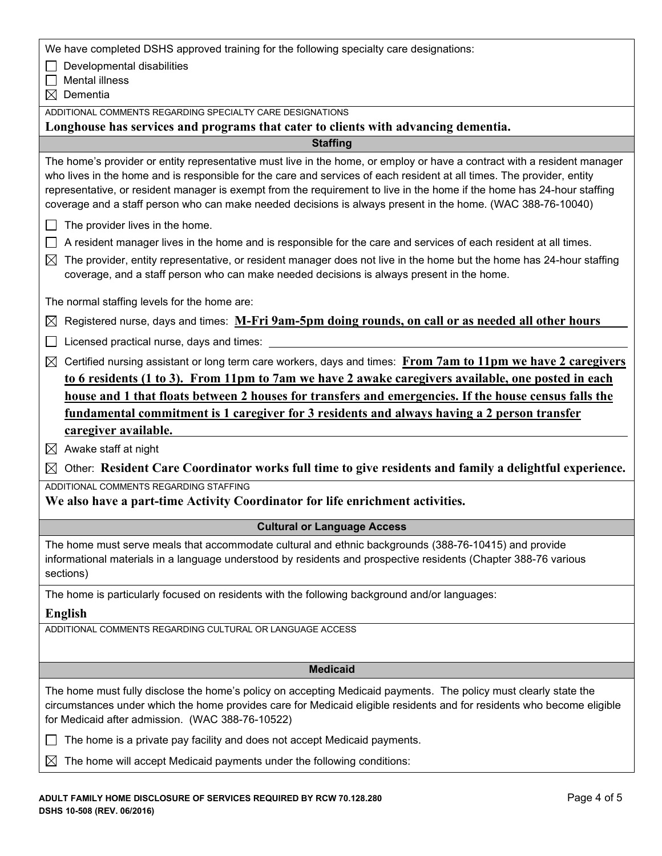We have completed DSHS approved training for the following specialty care designations:

 $\Box$  Developmental disabilities

 $\Box$  Mental illness

 $\boxtimes$  Dementia

ADDITIONAL COMMENTS REGARDING SPECIALTY CARE DESIGNATIONS

**Longhouse has services and programs that cater to clients with advancing dementia.**

<span id="page-3-0"></span>**Staffing**

The home's provider or entity representative must live in the home, or employ or have a contract with a resident manager who lives in the home and is responsible for the care and services of each resident at all times. The provider, entity representative, or resident manager is exempt from the requirement to live in the home if the home has 24-hour staffing coverage and a staff person who can make needed decisions is always present in the home. (WAC 388-76-10040)

 $\Box$  The provider lives in the home.

- $\Box$  A resident manager lives in the home and is responsible for the care and services of each resident at all times.
- $\boxtimes$  The provider, entity representative, or resident manager does not live in the home but the home has 24-hour staffing coverage, and a staff person who can make needed decisions is always present in the home.

The normal staffing levels for the home are:

|  | $\boxtimes$ Registered nurse, days and times: M-Fri $9$ am-5pm doing rounds, on call or as needed all other hours |  |
|--|-------------------------------------------------------------------------------------------------------------------|--|
|  |                                                                                                                   |  |

 $\Box$  Licensed practical nurse, days and times:

 $\boxtimes$  Certified nursing assistant or long term care workers, days and times: **From 7am to 11pm we have 2 caregivers to 6 residents (1 to 3). From 11pm to 7am we have 2 awake caregivers available, one posted in each house and 1 that floats between 2 houses for transfers and emergencies. If the house census falls the fundamental commitment is 1 caregiver for 3 residents and always having a 2 person transfer caregiver available.**

 $\boxtimes$  Awake staff at night

Other: **Resident Care Coordinator works full time to give residents and family a delightful experience.**

ADDITIONAL COMMENTS REGARDING STAFFING

**We also have a part-time Activity Coordinator for life enrichment activities.**

### <span id="page-3-1"></span>**Cultural or Language Access**

The home must serve meals that accommodate cultural and ethnic backgrounds (388-76-10415) and provide informational materials in a language understood by residents and prospective residents (Chapter 388-76 various sections)

The home is particularly focused on residents with the following background and/or languages:

### **English**

ADDITIONAL COMMENTS REGARDING CULTURAL OR LANGUAGE ACCESS

### <span id="page-3-2"></span>**Medicaid**

The home must fully disclose the home's policy on accepting Medicaid payments. The policy must clearly state the circumstances under which the home provides care for Medicaid eligible residents and for residents who become eligible for Medicaid after admission. (WAC 388-76-10522)

 $\Box$  The home is a private pay facility and does not accept Medicaid payments.

 $\boxtimes$  The home will accept Medicaid payments under the following conditions: